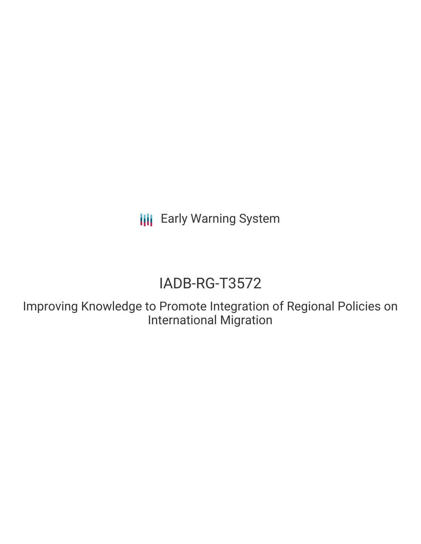**III** Early Warning System

# IADB-RG-T3572

Improving Knowledge to Promote Integration of Regional Policies on International Migration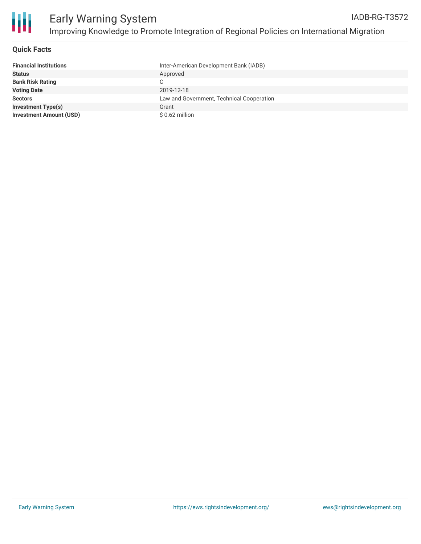

#### **Quick Facts**

| <b>Financial Institutions</b>  | Inter-American Development Bank (IADB)    |
|--------------------------------|-------------------------------------------|
| <b>Status</b>                  | Approved                                  |
| <b>Bank Risk Rating</b>        | C                                         |
| <b>Voting Date</b>             | 2019-12-18                                |
| <b>Sectors</b>                 | Law and Government, Technical Cooperation |
| <b>Investment Type(s)</b>      | Grant                                     |
| <b>Investment Amount (USD)</b> | $$0.62$ million                           |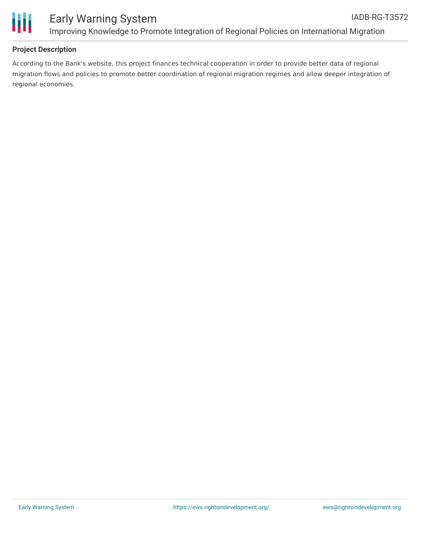

### **Project Description**

According to the Bank's website, this project finances technical cooperation in order to provide better data of regional migration flows and policies to promote better coordination of regional migration regimes and allow deeper integration of regional economies.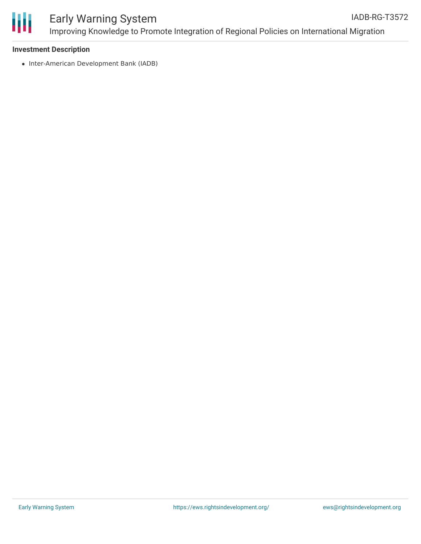

#### **Investment Description**

• Inter-American Development Bank (IADB)